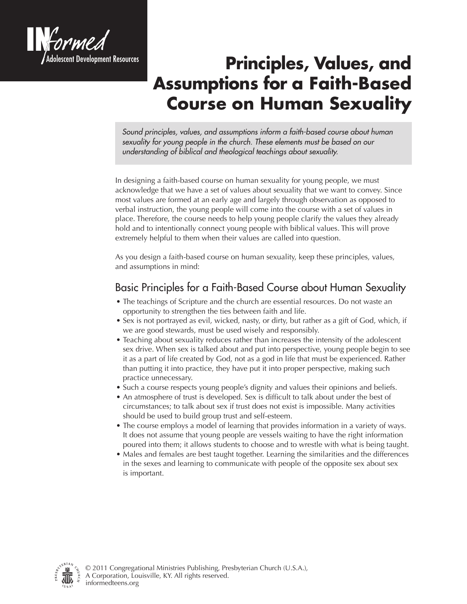

## **Principles, Values, and Assumptions for a Faith-Based Course on Human Sexuality**

*Sound principles, values, and assumptions inform a faith-based course about human sexuality for young people in the church. These elements must be based on our understanding of biblical and theological teachings about sexuality.* 

In designing a faith-based course on human sexuality for young people, we must acknowledge that we have a set of values about sexuality that we want to convey. Since most values are formed at an early age and largely through observation as opposed to verbal instruction, the young people will come into the course with a set of values in place. Therefore, the course needs to help young people clarify the values they already hold and to intentionally connect young people with biblical values. This will prove extremely helpful to them when their values are called into question.

As you design a faith-based course on human sexuality, keep these principles, values, and assumptions in mind:

## Basic Principles for a Faith-Based Course about Human Sexuality

- The teachings of Scripture and the church are essential resources. Do not waste an opportunity to strengthen the ties between faith and life.
- Sex is not portrayed as evil, wicked, nasty, or dirty, but rather as a gift of God, which, if we are good stewards, must be used wisely and responsibly.
- Teaching about sexuality reduces rather than increases the intensity of the adolescent sex drive. When sex is talked about and put into perspective, young people begin to see it as a part of life created by God, not as a god in life that must be experienced. Rather than putting it into practice, they have put it into proper perspective, making such practice unnecessary.
- Such a course respects young people's dignity and values their opinions and beliefs.
- An atmosphere of trust is developed. Sex is difficult to talk about under the best of circumstances; to talk about sex if trust does not exist is impossible. Many activities should be used to build group trust and self-esteem.
- The course employs a model of learning that provides information in a variety of ways. It does not assume that young people are vessels waiting to have the right information poured into them; it allows students to choose and to wrestle with what is being taught.
- Males and females are best taught together. Learning the similarities and the differences in the sexes and learning to communicate with people of the opposite sex about sex is important.